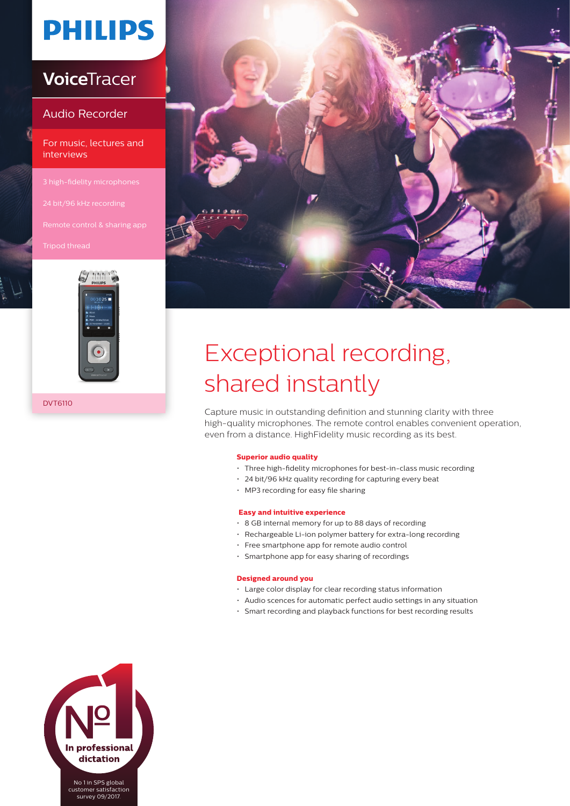# **PHILIPS**

### **Voice**Tracer

#### Audio Recorder

For music, lectures and interviews



DVT6110



# Exceptional recording, shared instantly

Capture music in outstanding definition and stunning clarity with three high-quality microphones. The remote control enables convenient operation, even from a distance. HighFidelity music recording as its best.

#### **Superior audio quality**

- Three high-fidelity microphones for best-in-class music recording
- 24 bit/96 kHz quality recording for capturing every beat
- MP3 recording for easy file sharing

#### **Easy and intuitive experience**

- 8 GB internal memory for up to 88 days of recording
- Rechargeable Li-ion polymer battery for extra-long recording
- Free smartphone app for remote audio control
- Smartphone app for easy sharing of recordings

#### **Designed around you**

- Large color display for clear recording status information
- Audio scences for automatic perfect audio settings in any situation
- Smart recording and playback functions for best recording results



customer satisfaction survey 09/2017.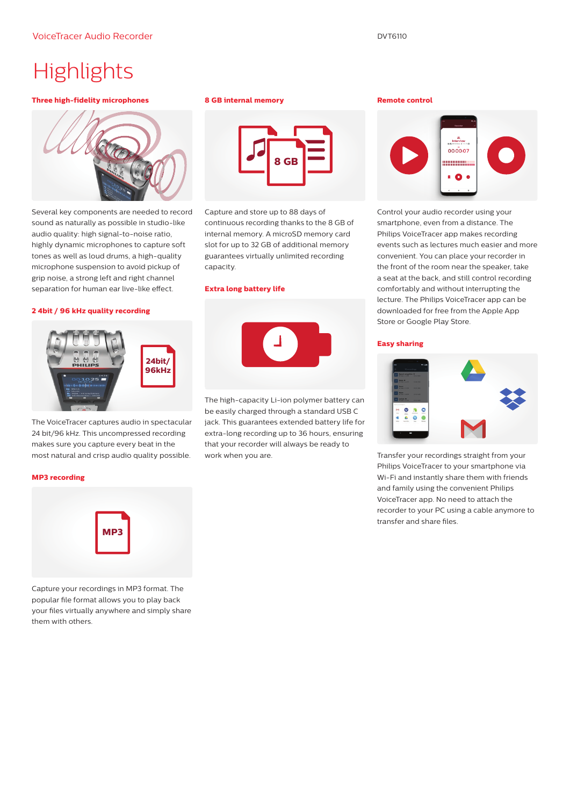## **Highlights**

#### **Three high-fidelity microphones**



Several key components are needed to record sound as naturally as possible in studio-like audio quality: high signal-to-noise ratio, highly dynamic microphones to capture soft tones as well as loud drums, a high-quality microphone suspension to avoid pickup of grip noise, a strong left and right channel separation for human ear live-like effect.

#### **2 4bit / 96 kHz quality recording**



The VoiceTracer captures audio in spectacular 24 bit/96 kHz. This uncompressed recording makes sure you capture every beat in the most natural and crisp audio quality possible.

#### **MP3 recording**



Capture your recordings in MP3 format. The popular file format allows you to play back your files virtually anywhere and simply share them with others.

#### **8 GB internal memory**



Capture and store up to 88 days of continuous recording thanks to the 8 GB of internal memory. A microSD memory card slot for up to 32 GB of additional memory guarantees virtually unlimited recording capacity.

#### **Extra long battery life**



The high-capacity Li-ion polymer battery can be easily charged through a standard USB C jack. This guarantees extended battery life for extra-long recording up to 36 hours, ensuring that your recorder will always be ready to work when you are.

#### **Remote control**



Control your audio recorder using your smartphone, even from a distance. The Philips VoiceTracer app makes recording events such as lectures much easier and more convenient. You can place your recorder in the front of the room near the speaker, take a seat at the back, and still control recording comfortably and without interrupting the lecture. The Philips VoiceTracer app can be downloaded for free from the Apple App Store or Google Play Store.

#### **Easy sharing**



Transfer your recordings straight from your Philips VoiceTracer to your smartphone via Wi-Fi and instantly share them with friends and family using the convenient Philips VoiceTracer app. No need to attach the recorder to your PC using a cable anymore to transfer and share files.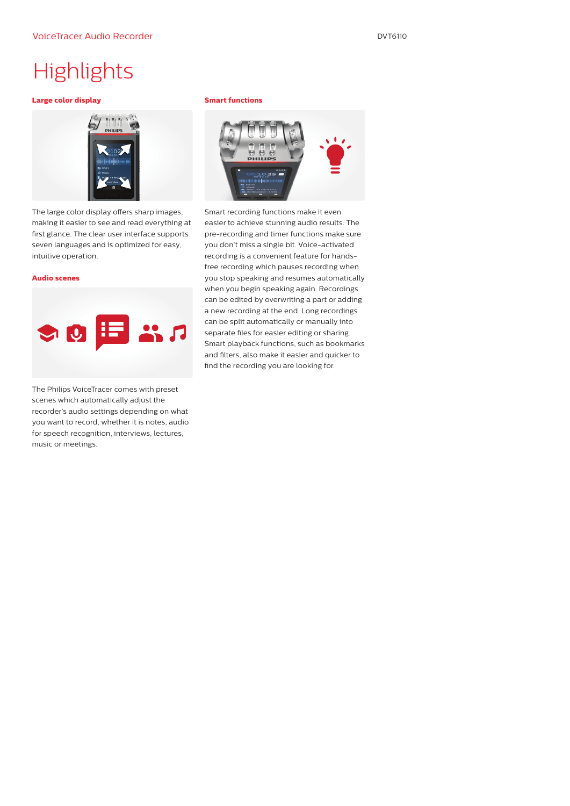### **Highlights**

#### **Large color display**



The large color display offers sharp images, making it easier to see and read everything at first glance. The clear user interface supports seven languages and is optimized for easy, intuitive operation.

#### **Audio scenes**



The Philips VoiceTracer comes with preset scenes which automatically adjust the recorder's audio settings depending on what you want to record, whether it is notes, audio for speech recognition, interviews, lectures, music or meetings.

#### **Smart functions**



Smart recording functions make it even easier to achieve stunning audio results. The pre-recording and timer functions make sure you don't miss a single bit. Voice-activated recording is a convenient feature for handsfree recording which pauses recording when you stop speaking and resumes automatically when you begin speaking again. Recordings can be edited by overwriting a part or adding a new recording at the end. Long recordings can be split automatically or manually into separate files for easier editing or sharing. Smart playback functions, such as bookmarks and filters, also make it easier and quicker to find the recording you are looking for.